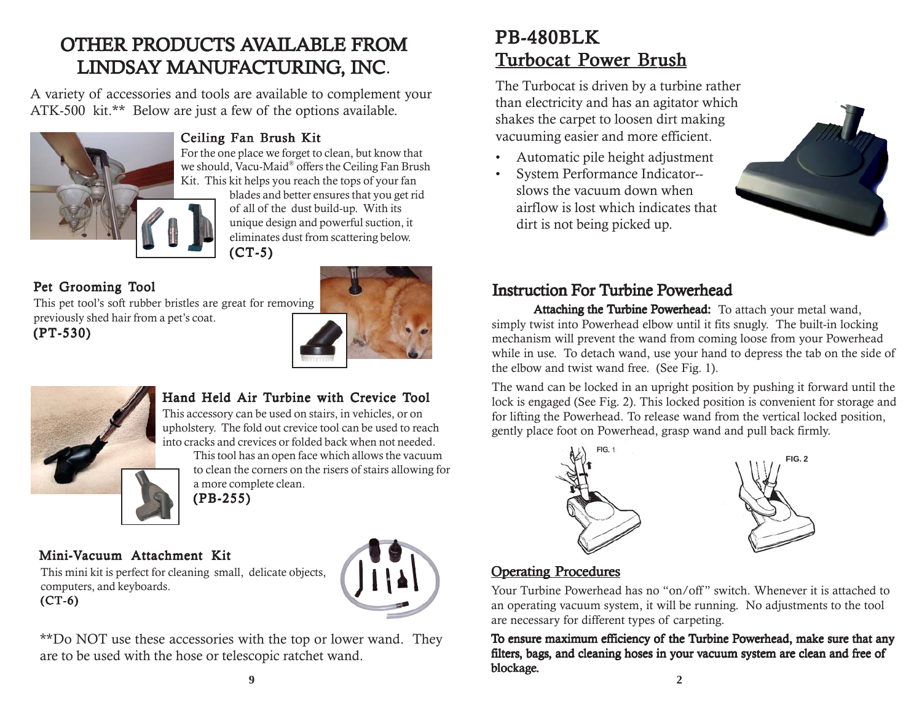# PB-480BLK Turbocat Power Brush

The Turbocat is driven by a turbine rather than electricity and has an agitator which shakes the carpet to loosen dirt making vacuuming easier and more efficient.

- Automatic pile height adjustment
- System Performance Indicator- slows the vacuum down when airflow is lost which indicates that dirt is not being picked up.



# Instruction For Turbine Powerhead

Attaching the Turbine Powerhead: To attach your metal wand, simply twist into Powerhead elbow until it fits snugly. The built-in locking mechanism will prevent the wand from coming loose from your Powerhead while in use. To detach wand, use your hand to depress the tab on the side of the elbow and twist wand free. (See Fig. 1).

The wand can be locked in an upright position by pushing it forward until the lock is engaged (See Fig. 2). This locked position is convenient for storage and for lifting the Powerhead. To release wand from the vertical locked position, gently place foot on Powerhead, grasp wand and pull back firmly.



### **Operating Procedures**

Your Turbine Powerhead has no "on/off " switch. Whenever it is attached to an operating vacuum system, it will be running. No adjustments to the tool are necessary for different types of carpeting.

To ensure maximum efficiency of the Turbine Powerhead, make sure that any filters, bags, and cleaning hoses in your vacuum system are clean and free of blockage. **9 2**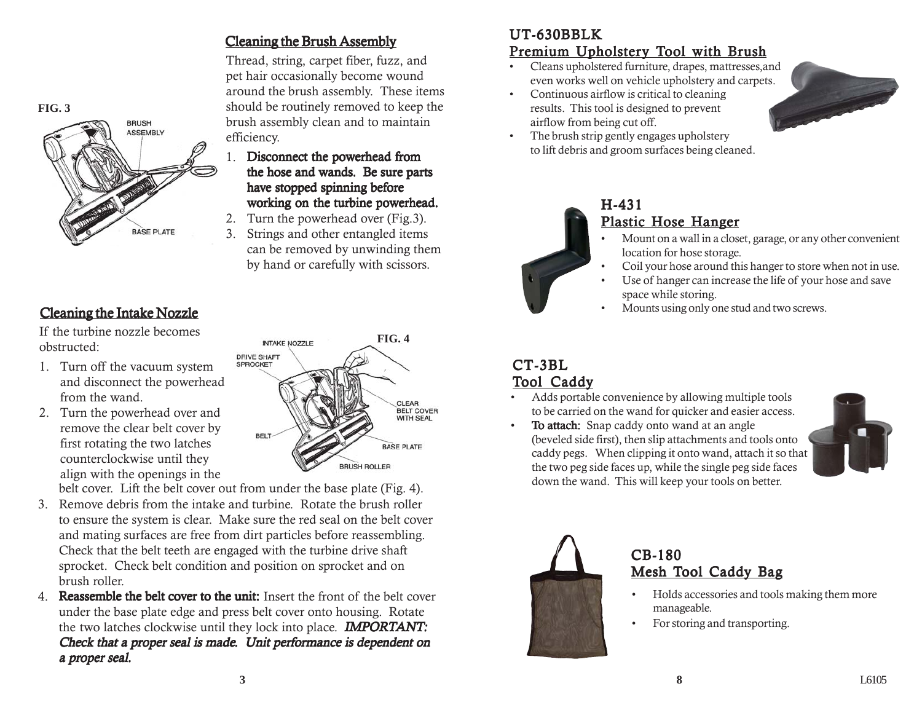



### Cleaning the Intake Nozzle

If the turbine nozzle becomes obstructed:

- 1. Turn off the vacuum system and disconnect the powerhead from the wand.
- 2. Turn the powerhead over and remove the clear belt cover by first rotating the two latches counterclockwise until they align with the openings in the

# **FIG. 4** INTAKE NOZZLE



belt cover. Lift the belt cover out from under the base plate (Fig. 4).

- 3. Remove debris from the intake and turbine. Rotate the brush roller to ensure the system is clear. Make sure the red seal on the belt cover and mating surfaces are free from dirt particles before reassembling. Check that the belt teeth are engaged with the turbine drive shaft sprocket. Check belt condition and position on sprocket and on brush roller.
- 4. Reassemble the belt cover to the unit: Insert the front of the belt cover under the base plate edge and press belt cover onto housing. Rotate the two latches clockwise until they lock into place. **IMPORTANT:** Check that a proper seal is made. Unit performance is dependent on a proper seal.

### Cleaning the Brush Assembly

Thread, string, carpet fiber, fuzz, and pet hair occasionally become wound around the brush assembly. These items should be routinely removed to keep the brush assembly clean and to maintain efficiency.

- 1. Disconnect the powerhead from the hose and wands. Be sure parts have stopped spinning before working on the turbine powerhead.
- 2. Turn the powerhead over (Fig.3).
- 3. Strings and other entangled items can be removed by unwinding them by hand or carefully with scissors.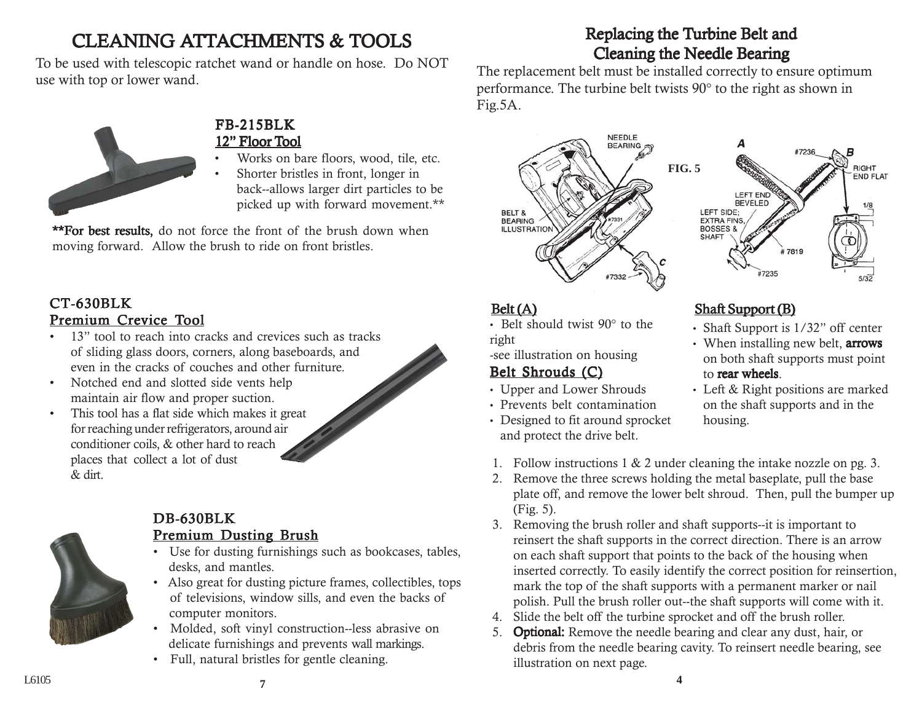# Replacing the Turbine Belt and Cleaning the Needle Bearing

The replacement belt must be installed correctly to ensure optimum performance. The turbine belt twists 90° to the right as shown in Fig.5A.



• Belt should twist 90° to the right

-see illustration on housing

# Belt Shrouds (C)

- Upper and Lower Shrouds
- Prevents belt contamination
- Designed to fit around sprocket and protect the drive belt.



## Belt (A) Shaft Support (B)

- Shaft Support is 1/32" off center
- When installing new belt, **arrows** on both shaft supports must point to rear wheels.
- Left & Right positions are marked on the shaft supports and in the housing.
- 1. Follow instructions 1 & 2 under cleaning the intake nozzle on pg. 3.
- 2. Remove the three screws holding the metal baseplate, pull the base plate off, and remove the lower belt shroud. Then, pull the bumper up (Fig. 5).
- 3. Removing the brush roller and shaft supports--it is important to reinsert the shaft supports in the correct direction. There is an arrow on each shaft support that points to the back of the housing when inserted correctly. To easily identify the correct position for reinsertion, mark the top of the shaft supports with a permanent marker or nail polish. Pull the brush roller out--the shaft supports will come with it.
- 4. Slide the belt off the turbine sprocket and off the brush roller.
- 5. **Optional:** Remove the needle bearing and clear any dust, hair, or debris from the needle bearing cavity. To reinsert needle bearing, see illustration on next page.